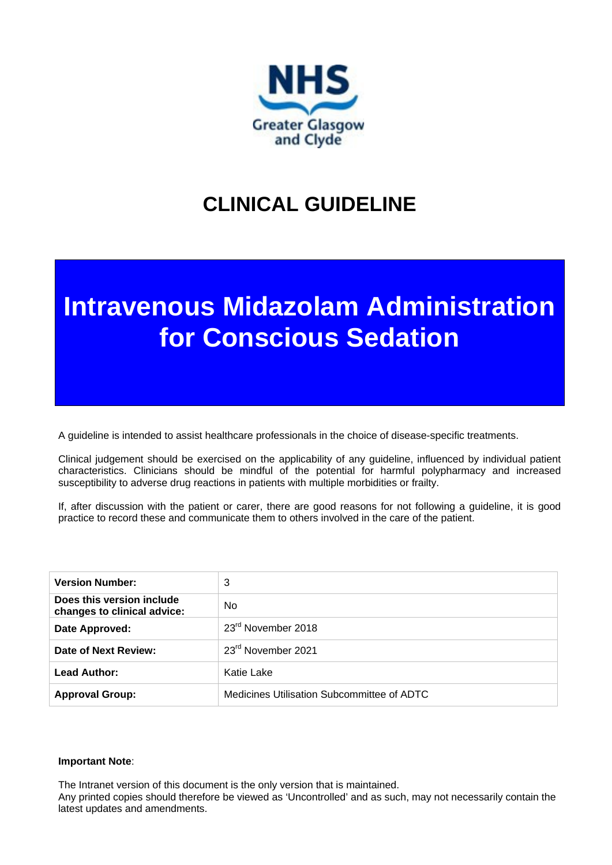

# **CLINICAL GUIDELINE**

# **Intravenous Midazolam Administration for Conscious Sedation**

A guideline is intended to assist healthcare professionals in the choice of disease-specific treatments.

Clinical judgement should be exercised on the applicability of any guideline, influenced by individual patient characteristics. Clinicians should be mindful of the potential for harmful polypharmacy and increased susceptibility to adverse drug reactions in patients with multiple morbidities or frailty.

If, after discussion with the patient or carer, there are good reasons for not following a guideline, it is good practice to record these and communicate them to others involved in the care of the patient.

| <b>Version Number:</b>                                   | 3                                          |
|----------------------------------------------------------|--------------------------------------------|
| Does this version include<br>changes to clinical advice: | No.                                        |
| Date Approved:                                           | 23 <sup>rd</sup> November 2018             |
| Date of Next Review:                                     | 23rd November 2021                         |
| <b>Lead Author:</b>                                      | Katie Lake                                 |
| <b>Approval Group:</b>                                   | Medicines Utilisation Subcommittee of ADTC |

#### **Important Note**:

The Intranet version of this document is the only version that is maintained.

Any printed copies should therefore be viewed as 'Uncontrolled' and as such, may not necessarily contain the latest updates and amendments.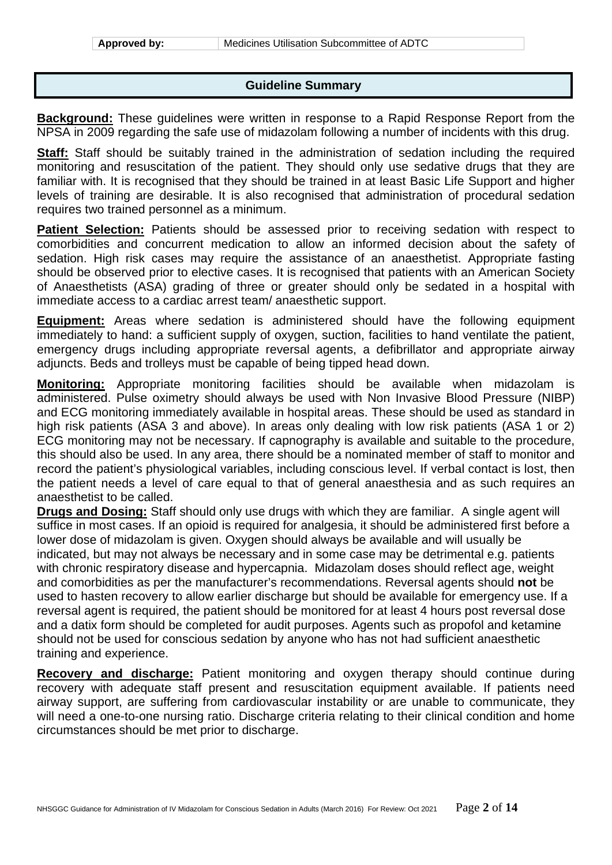#### **Guideline Summary**

**Background:** These guidelines were written in response to a Rapid Response Report from the NPSA in 2009 regarding the safe use of midazolam following a number of incidents with this drug.

**Staff:** Staff should be suitably trained in the administration of sedation including the required monitoring and resuscitation of the patient. They should only use sedative drugs that they are familiar with. It is recognised that they should be trained in at least Basic Life Support and higher levels of training are desirable. It is also recognised that administration of procedural sedation requires two trained personnel as a minimum.

**Patient Selection:** Patients should be assessed prior to receiving sedation with respect to comorbidities and concurrent medication to allow an informed decision about the safety of sedation. High risk cases may require the assistance of an anaesthetist. Appropriate fasting should be observed prior to elective cases. It is recognised that patients with an American Society of Anaesthetists (ASA) grading of three or greater should only be sedated in a hospital with immediate access to a cardiac arrest team/ anaesthetic support.

**Equipment:** Areas where sedation is administered should have the following equipment immediately to hand: a sufficient supply of oxygen, suction, facilities to hand ventilate the patient, emergency drugs including appropriate reversal agents, a defibrillator and appropriate airway adjuncts. Beds and trolleys must be capable of being tipped head down.

**Monitoring:** Appropriate monitoring facilities should be available when midazolam is administered. Pulse oximetry should always be used with Non Invasive Blood Pressure (NIBP) and ECG monitoring immediately available in hospital areas. These should be used as standard in high risk patients (ASA 3 and above). In areas only dealing with low risk patients (ASA 1 or 2) ECG monitoring may not be necessary. If capnography is available and suitable to the procedure, this should also be used. In any area, there should be a nominated member of staff to monitor and record the patient's physiological variables, including conscious level. If verbal contact is lost, then the patient needs a level of care equal to that of general anaesthesia and as such requires an anaesthetist to be called.

**Drugs and Dosing:** Staff should only use drugs with which they are familiar. A single agent will suffice in most cases. If an opioid is required for analgesia, it should be administered first before a lower dose of midazolam is given. Oxygen should always be available and will usually be indicated, but may not always be necessary and in some case may be detrimental e.g. patients with chronic respiratory disease and hypercapnia. Midazolam doses should reflect age, weight and comorbidities as per the manufacturer's recommendations. Reversal agents should **not** be used to hasten recovery to allow earlier discharge but should be available for emergency use. If a reversal agent is required, the patient should be monitored for at least 4 hours post reversal dose and a datix form should be completed for audit purposes. Agents such as propofol and ketamine should not be used for conscious sedation by anyone who has not had sufficient anaesthetic training and experience.

**Recovery and discharge:** Patient monitoring and oxygen therapy should continue during recovery with adequate staff present and resuscitation equipment available. If patients need airway support, are suffering from cardiovascular instability or are unable to communicate, they will need a one-to-one nursing ratio. Discharge criteria relating to their clinical condition and home circumstances should be met prior to discharge.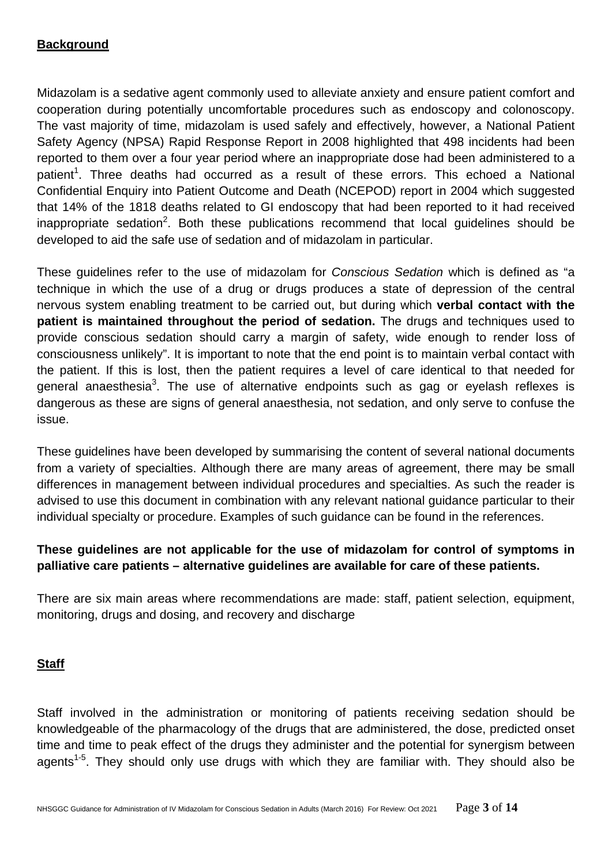#### **Background**

Midazolam is a sedative agent commonly used to alleviate anxiety and ensure patient comfort and cooperation during potentially uncomfortable procedures such as endoscopy and colonoscopy. The vast majority of time, midazolam is used safely and effectively, however, a National Patient Safety Agency (NPSA) Rapid Response Report in 2008 highlighted that 498 incidents had been reported to them over a four year period where an inappropriate dose had been administered to a patient<sup>1</sup>. Three deaths had occurred as a result of these errors. This echoed a National Confidential Enquiry into Patient Outcome and Death (NCEPOD) report in 2004 which suggested that 14% of the 1818 deaths related to GI endoscopy that had been reported to it had received inappropriate sedation<sup>2</sup>. Both these publications recommend that local guidelines should be developed to aid the safe use of sedation and of midazolam in particular.

These guidelines refer to the use of midazolam for *Conscious Sedation* which is defined as "a technique in which the use of a drug or drugs produces a state of depression of the central nervous system enabling treatment to be carried out, but during which **verbal contact with the patient is maintained throughout the period of sedation.** The drugs and techniques used to provide conscious sedation should carry a margin of safety, wide enough to render loss of consciousness unlikely". It is important to note that the end point is to maintain verbal contact with the patient. If this is lost, then the patient requires a level of care identical to that needed for general anaesthesia<sup>3</sup>. The use of alternative endpoints such as gag or eyelash reflexes is dangerous as these are signs of general anaesthesia, not sedation, and only serve to confuse the issue.

These guidelines have been developed by summarising the content of several national documents from a variety of specialties. Although there are many areas of agreement, there may be small differences in management between individual procedures and specialties. As such the reader is advised to use this document in combination with any relevant national guidance particular to their individual specialty or procedure. Examples of such guidance can be found in the references.

#### **These guidelines are not applicable for the use of midazolam for control of symptoms in palliative care patients – alternative guidelines are available for care of these patients.**

There are six main areas where recommendations are made: staff, patient selection, equipment, monitoring, drugs and dosing, and recovery and discharge

#### **Staff**

Staff involved in the administration or monitoring of patients receiving sedation should be knowledgeable of the pharmacology of the drugs that are administered, the dose, predicted onset time and time to peak effect of the drugs they administer and the potential for synergism between agents<sup>1-5</sup>. They should only use drugs with which they are familiar with. They should also be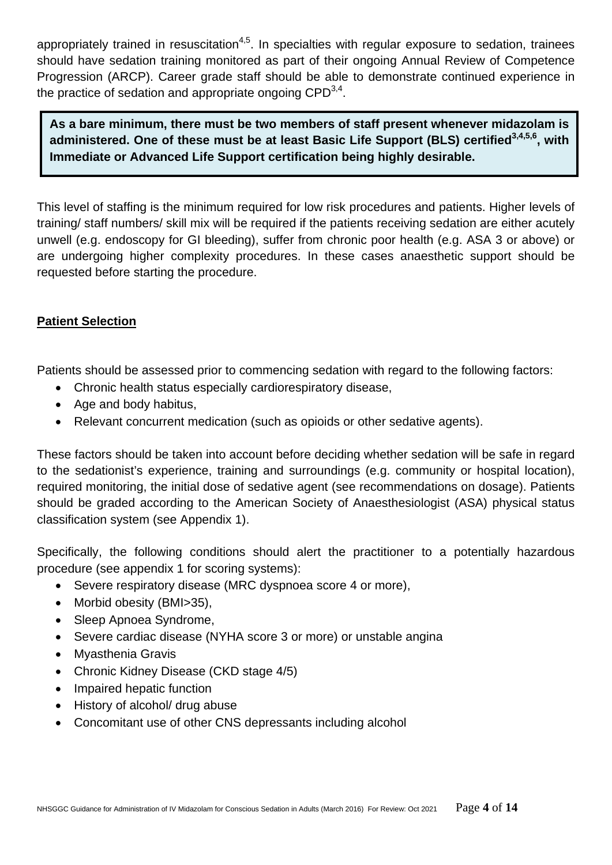appropriately trained in resuscitation<sup>4,5</sup>. In specialties with regular exposure to sedation, trainees should have sedation training monitored as part of their ongoing Annual Review of Competence Progression (ARCP). Career grade staff should be able to demonstrate continued experience in the practice of sedation and appropriate ongoing  $\text{CPD}^{3,4}$ .

**As a bare minimum, there must be two members of staff present whenever midazolam is**  administered. One of these must be at least Basic Life Support (BLS) certified<sup>3,4,5,6</sup>. with **Immediate or Advanced Life Support certification being highly desirable.**

This level of staffing is the minimum required for low risk procedures and patients. Higher levels of training/ staff numbers/ skill mix will be required if the patients receiving sedation are either acutely unwell (e.g. endoscopy for GI bleeding), suffer from chronic poor health (e.g. ASA 3 or above) or are undergoing higher complexity procedures. In these cases anaesthetic support should be requested before starting the procedure.

#### **Patient Selection**

Patients should be assessed prior to commencing sedation with regard to the following factors:

- Chronic health status especially cardiorespiratory disease,
- Age and body habitus,
- Relevant concurrent medication (such as opioids or other sedative agents).

These factors should be taken into account before deciding whether sedation will be safe in regard to the sedationist's experience, training and surroundings (e.g. community or hospital location), required monitoring, the initial dose of sedative agent (see recommendations on dosage). Patients should be graded according to the American Society of Anaesthesiologist (ASA) physical status classification system (see Appendix 1).

Specifically, the following conditions should alert the practitioner to a potentially hazardous procedure (see appendix 1 for scoring systems):

- Severe respiratory disease (MRC dyspnoea score 4 or more),
- Morbid obesity (BMI>35),
- Sleep Apnoea Syndrome,
- Severe cardiac disease (NYHA score 3 or more) or unstable angina
- Myasthenia Gravis
- Chronic Kidney Disease (CKD stage 4/5)
- Impaired hepatic function
- History of alcohol/ drug abuse
- Concomitant use of other CNS depressants including alcohol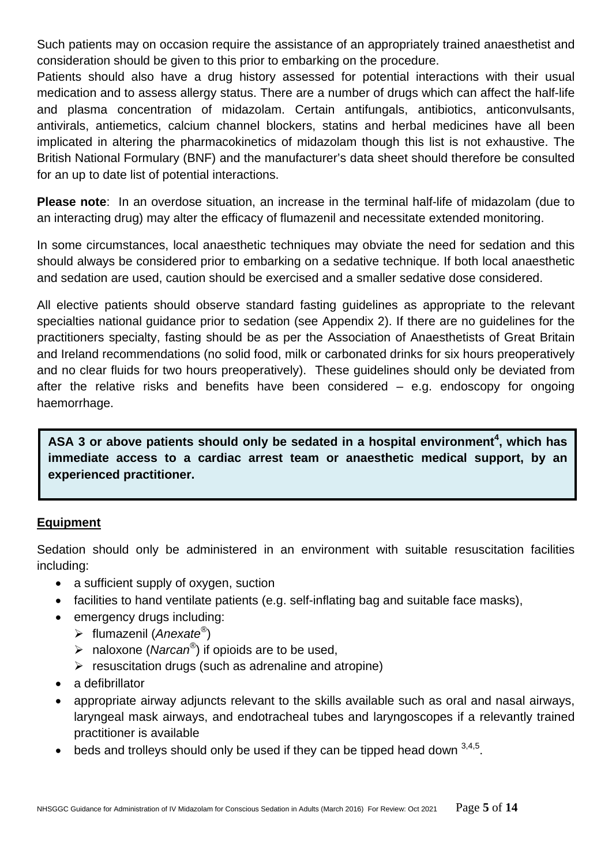Such patients may on occasion require the assistance of an appropriately trained anaesthetist and consideration should be given to this prior to embarking on the procedure.

Patients should also have a drug history assessed for potential interactions with their usual medication and to assess allergy status. There are a number of drugs which can affect the half-life and plasma concentration of midazolam. Certain antifungals, antibiotics, anticonvulsants, antivirals, antiemetics, calcium channel blockers, statins and herbal medicines have all been implicated in altering the pharmacokinetics of midazolam though this list is not exhaustive. The British National Formulary (BNF) and the manufacturer's data sheet should therefore be consulted for an up to date list of potential interactions.

**Please note**: In an overdose situation, an increase in the terminal half-life of midazolam (due to an interacting drug) may alter the efficacy of flumazenil and necessitate extended monitoring.

In some circumstances, local anaesthetic techniques may obviate the need for sedation and this should always be considered prior to embarking on a sedative technique. If both local anaesthetic and sedation are used, caution should be exercised and a smaller sedative dose considered.

All elective patients should observe standard fasting guidelines as appropriate to the relevant specialties national guidance prior to sedation (see Appendix 2). If there are no guidelines for the practitioners specialty, fasting should be as per the Association of Anaesthetists of Great Britain and Ireland recommendations (no solid food, milk or carbonated drinks for six hours preoperatively and no clear fluids for two hours preoperatively). These guidelines should only be deviated from after the relative risks and benefits have been considered – e.g. endoscopy for ongoing haemorrhage.

ASA 3 or above patients should only be sedated in a hospital environment<sup>4</sup>, which has **immediate access to a cardiac arrest team or anaesthetic medical support, by an experienced practitioner.**

#### **Equipment**

Sedation should only be administered in an environment with suitable resuscitation facilities including:

- a sufficient supply of oxygen, suction
- facilities to hand ventilate patients (e.g. self-inflating bag and suitable face masks),
- emergency drugs including:
	- flumazenil (*Anexate®*)
	- naloxone (*Narcan®*) if opioids are to be used,
	- $\triangleright$  resuscitation drugs (such as adrenaline and atropine)
- a defibrillator
- appropriate airway adjuncts relevant to the skills available such as oral and nasal airways, laryngeal mask airways, and endotracheal tubes and laryngoscopes if a relevantly trained practitioner is available
- beds and trolleys should only be used if they can be tipped head down  $3,4,5$ .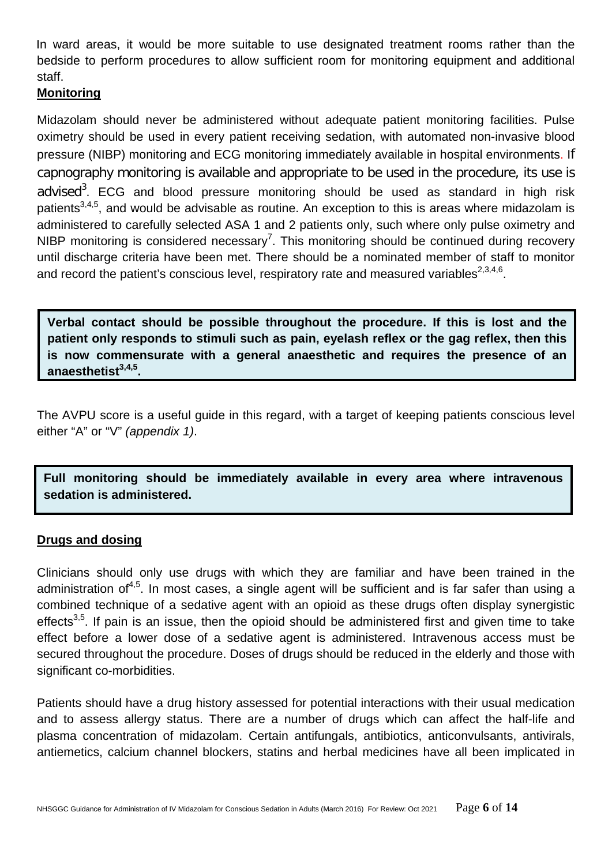In ward areas, it would be more suitable to use designated treatment rooms rather than the bedside to perform procedures to allow sufficient room for monitoring equipment and additional staff.

#### **Monitoring**

Midazolam should never be administered without adequate patient monitoring facilities. Pulse oximetry should be used in every patient receiving sedation, with automated non-invasive blood pressure (NIBP) monitoring and ECG monitoring immediately available in hospital environments. If capnography monitoring is available and appropriate to be used in the procedure, its use is advised<sup>3</sup>. ECG and blood pressure monitoring should be used as standard in high risk patients<sup>3,4,5</sup>, and would be advisable as routine. An exception to this is areas where midazolam is administered to carefully selected ASA 1 and 2 patients only, such where only pulse oximetry and NIBP monitoring is considered necessary<sup>7</sup>. This monitoring should be continued during recovery until discharge criteria have been met. There should be a nominated member of staff to monitor and record the patient's conscious level, respiratory rate and measured variables $^{2,3,4,6}$ .

**Verbal contact should be possible throughout the procedure. If this is lost and the patient only responds to stimuli such as pain, eyelash reflex or the gag reflex, then this is now commensurate with a general anaesthetic and requires the presence of an anaesthetist3,4,5.**

The AVPU score is a useful guide in this regard, with a target of keeping patients conscious level either "A" or "V" *(appendix 1)*.

**Full monitoring should be immediately available in every area where intravenous sedation is administered.**

#### **Drugs and dosing**

Clinicians should only use drugs with which they are familiar and have been trained in the administration of<sup>4,5</sup>. In most cases, a single agent will be sufficient and is far safer than using a combined technique of a sedative agent with an opioid as these drugs often display synergistic effects<sup>3,5</sup>. If pain is an issue, then the opioid should be administered first and given time to take effect before a lower dose of a sedative agent is administered. Intravenous access must be secured throughout the procedure. Doses of drugs should be reduced in the elderly and those with significant co-morbidities.

Patients should have a drug history assessed for potential interactions with their usual medication and to assess allergy status. There are a number of drugs which can affect the half-life and plasma concentration of midazolam. Certain antifungals, antibiotics, anticonvulsants, antivirals, antiemetics, calcium channel blockers, statins and herbal medicines have all been implicated in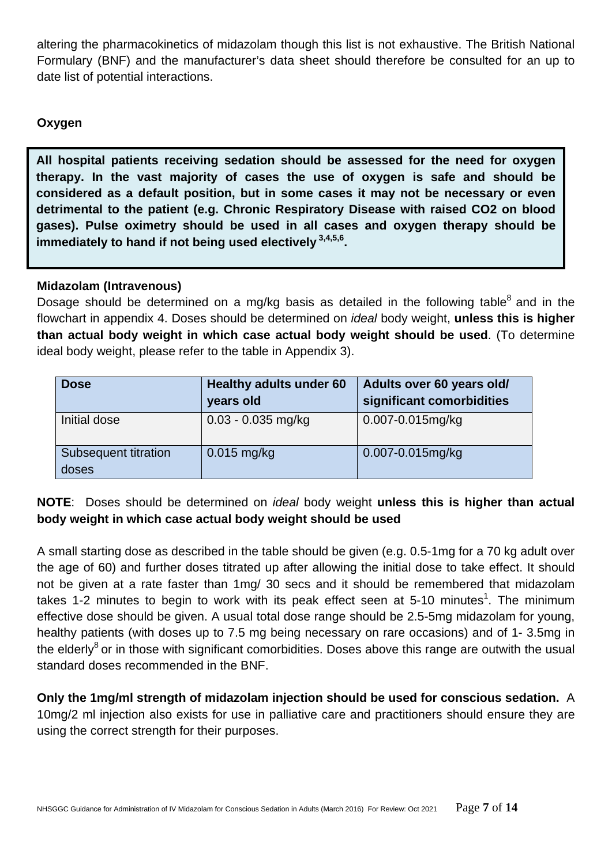altering the pharmacokinetics of midazolam though this list is not exhaustive. The British National Formulary (BNF) and the manufacturer's data sheet should therefore be consulted for an up to date list of potential interactions.

#### **Oxygen**

immediately to hand if not being used electively  $3,4,5,6$ . **All hospital patients receiving sedation should be assessed for the need for oxygen therapy. In the vast majority of cases the use of oxygen is safe and should be considered as a default position, but in some cases it may not be necessary or even detrimental to the patient (e.g. Chronic Respiratory Disease with raised CO2 on blood gases). Pulse oximetry should be used in all cases and oxygen therapy should be** 

#### **Midazolam (Intravenous)**

Dosage should be determined on a mg/kg basis as detailed in the following table<sup>8</sup> and in the flowchart in appendix 4. Doses should be determined on *ideal* body weight, **unless this is higher than actual body weight in which case actual body weight should be used**. (To determine ideal body weight, please refer to the table in Appendix 3).

| <b>Dose</b>                   | Healthy adults under 60<br>years old | Adults over 60 years old/<br>significant comorbidities |
|-------------------------------|--------------------------------------|--------------------------------------------------------|
| Initial dose                  | $0.03 - 0.035$ mg/kg                 | 0.007-0.015mg/kg                                       |
| Subsequent titration<br>doses | $0.015$ mg/kg                        | 0.007-0.015mg/kg                                       |

#### **NOTE**: Doses should be determined on *ideal* body weight **unless this is higher than actual body weight in which case actual body weight should be used**

A small starting dose as described in the table should be given (e.g. 0.5-1mg for a 70 kg adult over the age of 60) and further doses titrated up after allowing the initial dose to take effect. It should not be given at a rate faster than 1mg/ 30 secs and it should be remembered that midazolam takes 1-2 minutes to begin to work with its peak effect seen at 5-10 minutes<sup>1</sup>. The minimum effective dose should be given. A usual total dose range should be 2.5-5mg midazolam for young, healthy patients (with doses up to 7.5 mg being necessary on rare occasions) and of 1- 3.5mg in the elderly<sup>8</sup> or in those with significant comorbidities. Doses above this range are outwith the usual standard doses recommended in the BNF.

**Only the 1mg/ml strength of midazolam injection should be used for conscious sedation.** A 10mg/2 ml injection also exists for use in palliative care and practitioners should ensure they are using the correct strength for their purposes.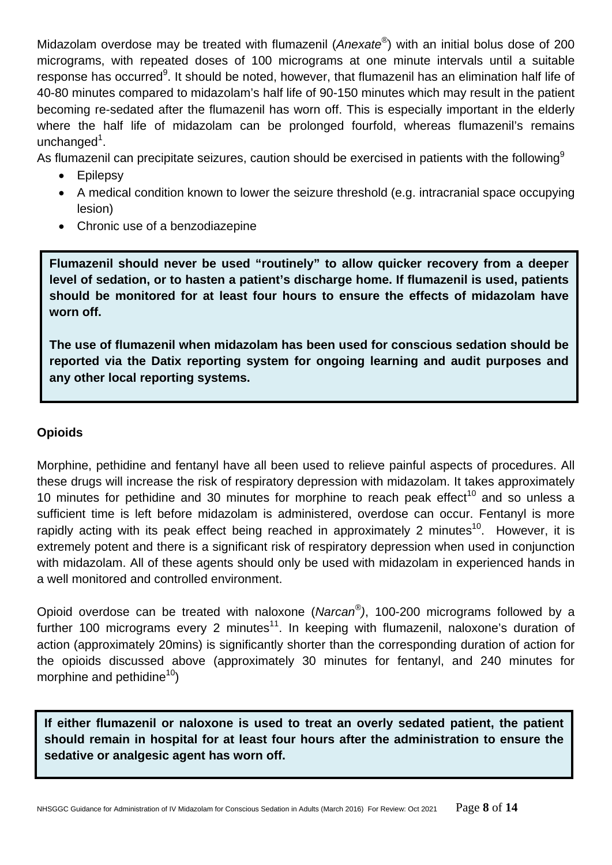Midazolam overdose may be treated with flumazenil (*Anexate®*) with an initial bolus dose of 200 micrograms, with repeated doses of 100 micrograms at one minute intervals until a suitable response has occurred<sup>9</sup>. It should be noted, however, that flumazenil has an elimination half life of 40-80 minutes compared to midazolam's half life of 90-150 minutes which may result in the patient becoming re-sedated after the flumazenil has worn off. This is especially important in the elderly where the half life of midazolam can be prolonged fourfold, whereas flumazenil's remains unchanged<sup>1</sup>.

As flumazenil can precipitate seizures, caution should be exercised in patients with the following<sup>9</sup>

- Epilepsy
- A medical condition known to lower the seizure threshold (e.g. intracranial space occupying lesion)
- Chronic use of a benzodiazepine

**Flumazenil should never be used "routinely" to allow quicker recovery from a deeper level of sedation, or to hasten a patient's discharge home. If flumazenil is used, patients should be monitored for at least four hours to ensure the effects of midazolam have worn off.**

**The use of flumazenil when midazolam has been used for conscious sedation should be reported via the Datix reporting system for ongoing learning and audit purposes and any other local reporting systems.**

#### **Opioids**

Morphine, pethidine and fentanyl have all been used to relieve painful aspects of procedures. All these drugs will increase the risk of respiratory depression with midazolam. It takes approximately 10 minutes for pethidine and 30 minutes for morphine to reach peak effect<sup>10</sup> and so unless a sufficient time is left before midazolam is administered, overdose can occur. Fentanyl is more rapidly acting with its peak effect being reached in approximately 2 minutes<sup>10</sup>. However, it is extremely potent and there is a significant risk of respiratory depression when used in conjunction with midazolam. All of these agents should only be used with midazolam in experienced hands in a well monitored and controlled environment.

Opioid overdose can be treated with naloxone (*Narcan®)*, 100-200 micrograms followed by a further 100 micrograms every 2 minutes<sup>11</sup>. In keeping with flumazenil, naloxone's duration of action (approximately 20mins) is significantly shorter than the corresponding duration of action for the opioids discussed above (approximately 30 minutes for fentanyl, and 240 minutes for morphine and pethidine<sup>10</sup>)

**If either flumazenil or naloxone is used to treat an overly sedated patient, the patient should remain in hospital for at least four hours after the administration to ensure the sedative or analgesic agent has worn off.**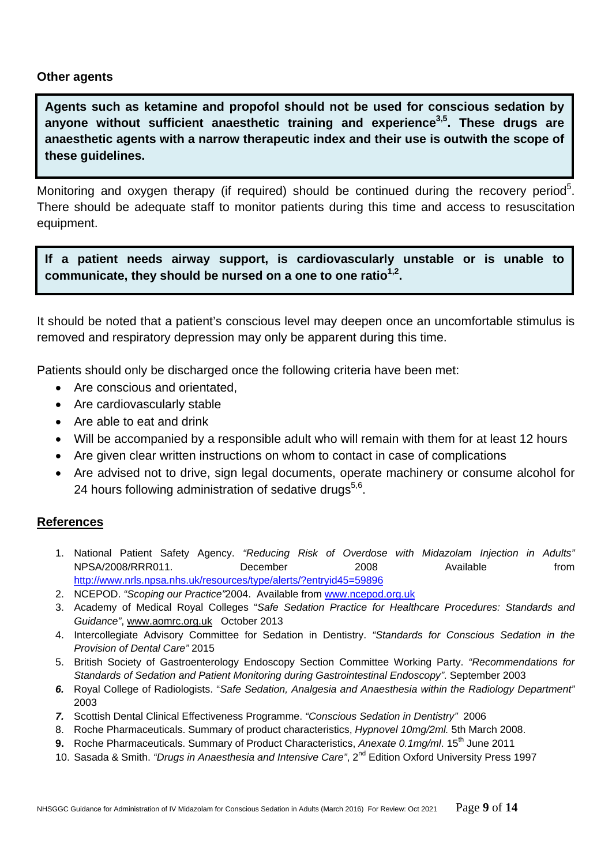#### **Other agents**

**k** these guidelines. **Agents such as ketamine and propofol should not be used for conscious sedation by anyone without sufficient anaesthetic training and experience3,5. These drugs are anaesthetic agents with a narrow therapeutic index and their use is outwith the scope of** 

Monitoring and oxygen therapy (if required) should be continued during the recovery period<sup>5</sup>. There should be adequate staff to monitor patients during this time and access to resuscitation equipment.

**If a patient needs airway support, is cardiovascularly unstable or is unable to**  communicate, they should be nursed on a one to one ratio<sup>1,2</sup>.

It should be noted that a patient's conscious level may deepen once an uncomfortable stimulus is removed and respiratory depression may only be apparent during this time.

Patients should only be discharged once the following criteria have been met:

- Are conscious and orientated,
- Are cardiovascularly stable
- Are able to eat and drink
- Will be accompanied by a responsible adult who will remain with them for at least 12 hours
- Are given clear written instructions on whom to contact in case of complications
- Are advised not to drive, sign legal documents, operate machinery or consume alcohol for 24 hours following administration of sedative drugs<sup>5,6</sup>.

#### **References**

- 1. National Patient Safety Agency. *"Reducing Risk of Overdose with Midazolam Injection in Adults"*  NPSA/2008/RRR011. December 2008 Available from <http://www.nrls.npsa.nhs.uk/resources/type/alerts/?entryid45=59896>
- 2. NCEPOD. *"Scoping our Practice"*2004. Available from [www.ncepod.org.uk](http://www.ncepod.org.uk/)
- 3. Academy of Medical Royal Colleges "*Safe Sedation Practice for Healthcare Procedures: Standards and Guidance"*, [www.aomrc.org.uk](http://www.aomrc.org.uk/) October 2013
- 4. Intercollegiate Advisory Committee for Sedation in Dentistry. *"Standards for Conscious Sedation in the Provision of Dental Care"* 2015
- 5. British Society of Gastroenterology Endoscopy Section Committee Working Party. *"Recommendations for Standards of Sedation and Patient Monitoring during Gastrointestinal Endoscopy"*. September 2003
- *6.* Royal College of Radiologists. "*Safe Sedation, Analgesia and Anaesthesia within the Radiology Department"*  2003
- *7.* Scottish Dental Clinical Effectiveness Programme. *"Conscious Sedation in Dentistry"* 2006
- 8. Roche Pharmaceuticals. Summary of product characteristics, *Hypnovel 10mg/2ml.* 5th March 2008.
- **9.** Roche Pharmaceuticals. Summary of Product Characteristics, Anexate 0.1mg/ml. 15<sup>th</sup> June 2011
- 10. Sasada & Smith. *"Drugs in Anaesthesia and Intensive Care"*, 2<sup>nd</sup> Edition Oxford University Press 1997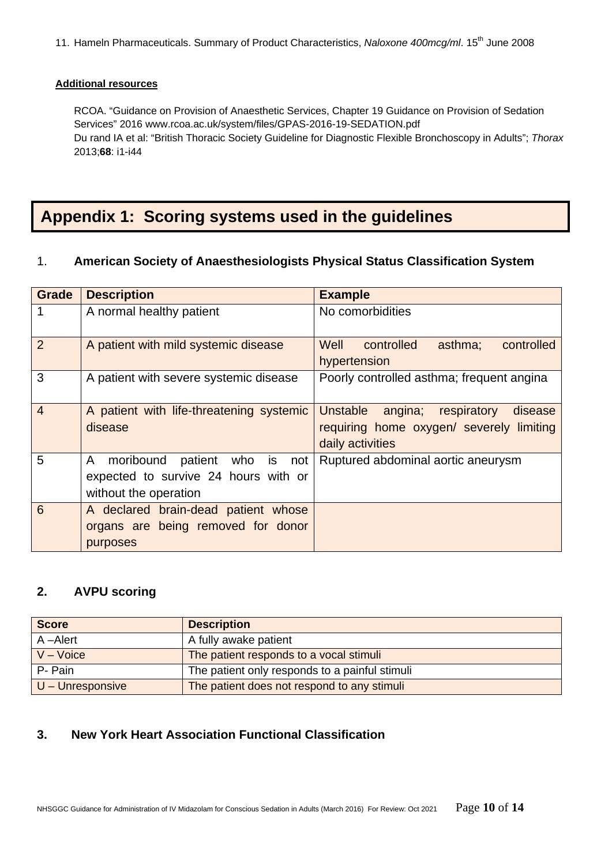11. Hameln Pharmaceuticals. Summary of Product Characteristics, *Naloxone 400mcg/ml*. 15th June 2008

#### **Additional resources**

RCOA. "Guidance on Provision of Anaesthetic Services, Chapter 19 Guidance on Provision of Sedation Services" 2016 www.rcoa.ac.uk/system/files/GPAS-2016-19-SEDATION.pdf Du rand IA et al: "British Thoracic Society Guideline for Diagnostic Flexible Bronchoscopy in Adults"; *Thorax*  2013;**68**: i1-i44

## **Appendix 1: Scoring systems used in the guidelines**

#### 1. **American Society of Anaesthesiologists Physical Status Classification System**

| <b>Grade</b>   | <b>Description</b>                                                                                       | <b>Example</b>                                                                                                |  |
|----------------|----------------------------------------------------------------------------------------------------------|---------------------------------------------------------------------------------------------------------------|--|
|                | A normal healthy patient                                                                                 | No comorbidities                                                                                              |  |
| $\overline{2}$ | A patient with mild systemic disease                                                                     | Well<br>controlled<br>asthma;<br>controlled<br>hypertension                                                   |  |
| 3              | A patient with severe systemic disease                                                                   | Poorly controlled asthma; frequent angina                                                                     |  |
| $\overline{4}$ | A patient with life-threatening systemic<br>disease                                                      | Unstable<br>respiratory<br>angina;<br>disease<br>requiring home oxygen/ severely limiting<br>daily activities |  |
| 5              | moribound patient<br>who is<br>A<br>not<br>expected to survive 24 hours with or<br>without the operation | Ruptured abdominal aortic aneurysm                                                                            |  |
| 6              | A declared brain-dead patient whose<br>organs are being removed for donor<br>purposes                    |                                                                                                               |  |

#### **2. AVPU scoring**

| <b>Score</b>       | <b>Description</b>                             |
|--------------------|------------------------------------------------|
| A-Alert            | A fully awake patient                          |
| $V - Voice$        | The patient responds to a vocal stimuli        |
| P- Pain            | The patient only responds to a painful stimuli |
| $U -$ Unresponsive | The patient does not respond to any stimuli    |

#### **3. New York Heart Association Functional Classification**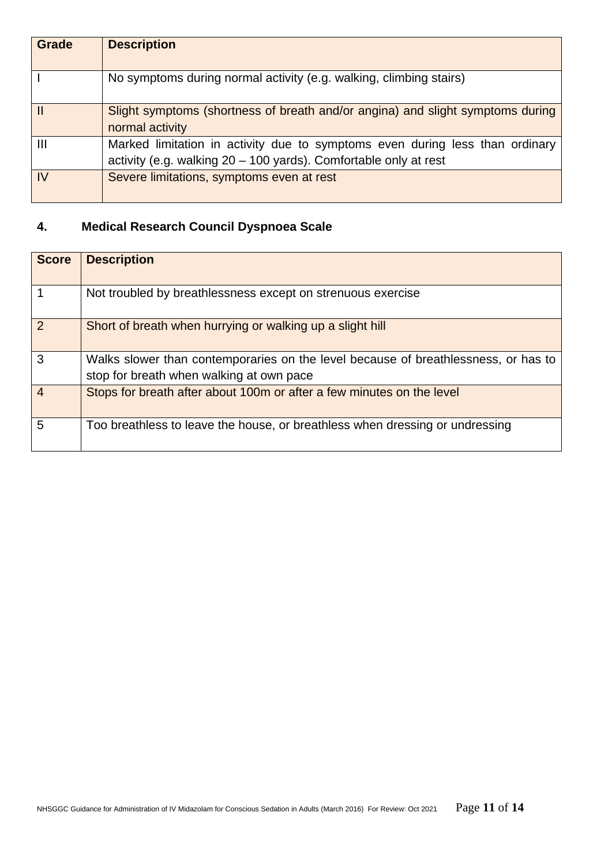| <b>Grade</b>   | <b>Description</b>                                                                                                                                 |
|----------------|----------------------------------------------------------------------------------------------------------------------------------------------------|
|                | No symptoms during normal activity (e.g. walking, climbing stairs)                                                                                 |
|                | Slight symptoms (shortness of breath and/or angina) and slight symptoms during<br>normal activity                                                  |
| $\mathbf{III}$ | Marked limitation in activity due to symptoms even during less than ordinary<br>activity (e.g. walking $20 - 100$ yards). Comfortable only at rest |
| IV             | Severe limitations, symptoms even at rest                                                                                                          |

### **4. Medical Research Council Dyspnoea Scale**

| <b>Score</b>   | <b>Description</b>                                                                                                             |
|----------------|--------------------------------------------------------------------------------------------------------------------------------|
|                | Not troubled by breathlessness except on strenuous exercise                                                                    |
| 2              | Short of breath when hurrying or walking up a slight hill                                                                      |
| 3              | Walks slower than contemporaries on the level because of breathlessness, or has to<br>stop for breath when walking at own pace |
| $\overline{4}$ | Stops for breath after about 100m or after a few minutes on the level                                                          |
| 5              | Too breathless to leave the house, or breathless when dressing or undressing                                                   |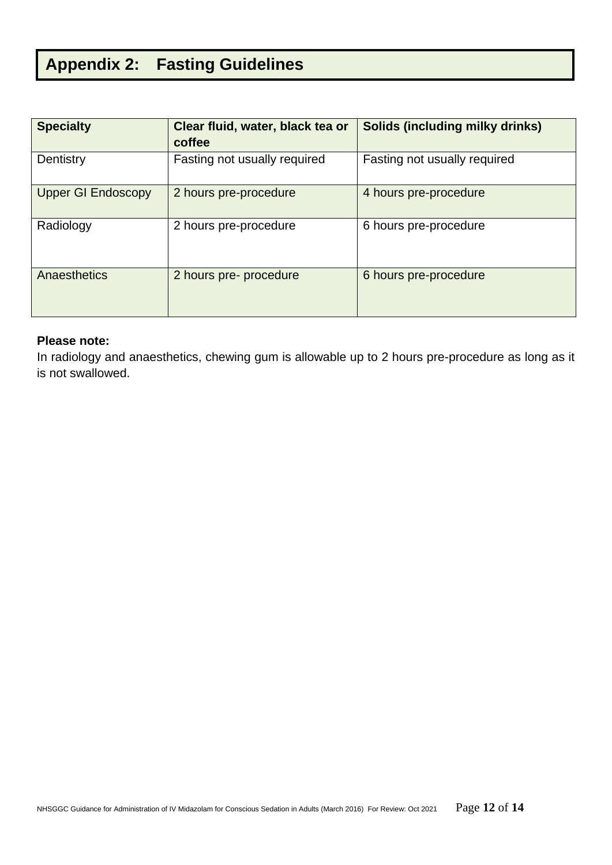# **Appendix 2: Fasting Guidelines**

| <b>Specialty</b>          | Clear fluid, water, black tea or<br>coffee | <b>Solids (including milky drinks)</b> |
|---------------------------|--------------------------------------------|----------------------------------------|
| Dentistry                 | Fasting not usually required               | Fasting not usually required           |
| <b>Upper GI Endoscopy</b> | 2 hours pre-procedure                      | 4 hours pre-procedure                  |
| Radiology                 | 2 hours pre-procedure                      | 6 hours pre-procedure                  |
| Anaesthetics              | 2 hours pre- procedure                     | 6 hours pre-procedure                  |

#### **Please note:**

In radiology and anaesthetics, chewing gum is allowable up to 2 hours pre-procedure as long as it is not swallowed.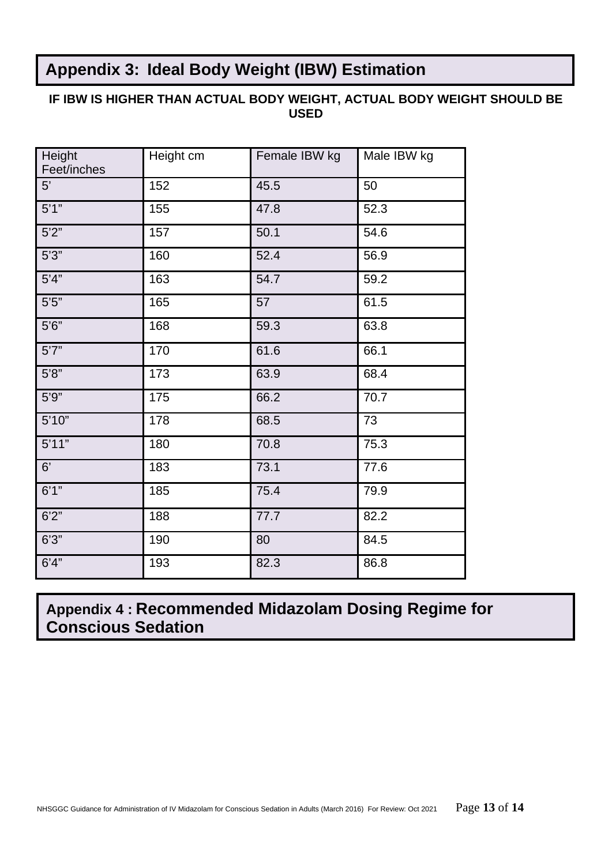## **Appendix 3: Ideal Body Weight (IBW) Estimation**

#### **IF IBW IS HIGHER THAN ACTUAL BODY WEIGHT, ACTUAL BODY WEIGHT SHOULD BE USED**

| Height<br>Feet/inches | Height cm | Female IBW kg | Male IBW kg |
|-----------------------|-----------|---------------|-------------|
| 5'                    | 152       | 45.5          | 50          |
| 5'1''                 | 155       | 47.8          | 52.3        |
| 5'2''                 | 157       | 50.1          | 54.6        |
| 5'3''                 | 160       | 52.4          | 56.9        |
| 5'4"                  | 163       | 54.7          | 59.2        |
| $5'5''$               | 165       | 57            | 61.5        |
| 5'6''                 | 168       | 59.3          | 63.8        |
| 5'7''                 | 170       | 61.6          | 66.1        |
| 5'8''                 | 173       | 63.9          | 68.4        |
| 5'9''                 | 175       | 66.2          | 70.7        |
| 5'10"                 | 178       | 68.5          | 73          |
| 5'11"                 | 180       | 70.8          | 75.3        |
| 6'                    | 183       | 73.1          | 77.6        |
| 6'1''                 | 185       | 75.4          | 79.9        |
| 6'2''                 | 188       | 77.7          | 82.2        |
| 6'3''                 | 190       | 80            | 84.5        |
| 6'4''                 | 193       | 82.3          | 86.8        |

# **Appendix 4 : Recommended Midazolam Dosing Regime for Conscious Sedation**